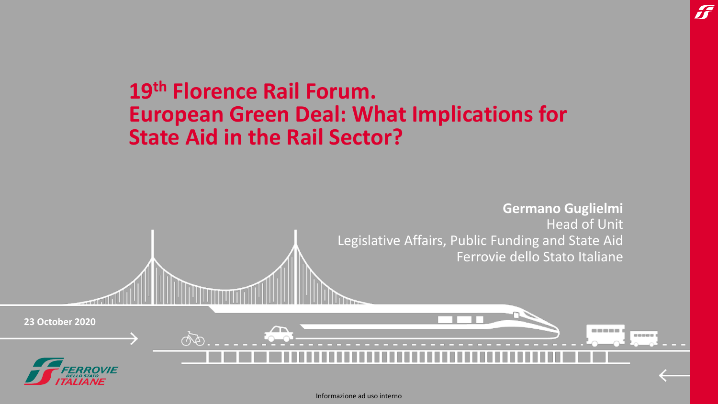

H

#### Informazione ad uso interno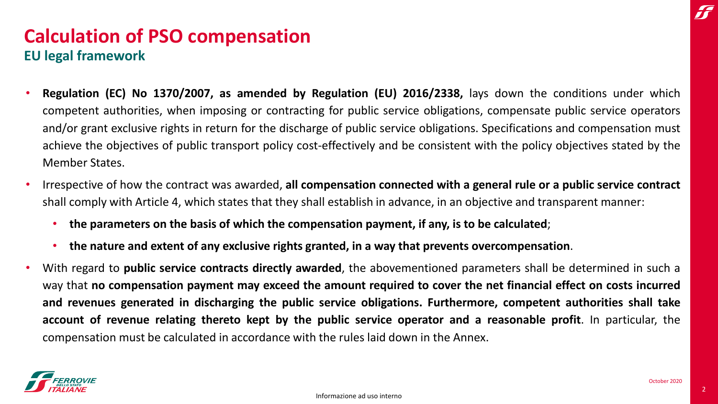## **Calculation of PSO compensation EU legal framework**

- **Regulation (EC) No 1370/2007, as amended by Regulation (EU) 2016/2338,** lays down the conditions under which competent authorities, when imposing or contracting for public service obligations, compensate public service operators and/or grant exclusive rights in return for the discharge of public service obligations. Specifications and compensation must achieve the objectives of public transport policy cost-effectively and be consistent with the policy objectives stated by the Member States.
- Irrespective of how the contract was awarded, **all compensation connected with a general rule or a public service contract** shall comply with Article 4, which states that they shall establish in advance, in an objective and transparent manner:
	- **the parameters on the basis of which the compensation payment, if any, is to be calculated**;
	- **the nature and extent of any exclusive rights granted, in a way that prevents overcompensation**.
- With regard to **public service contracts directly awarded**, the abovementioned parameters shall be determined in such a way that no compensation payment may exceed the amount required to cover the net financial effect on costs incurred **and revenues generated in discharging the public service obligations. Furthermore, competent authorities shall take account of revenue relating thereto kept by the public service operator and a reasonable profit**. In particular, the compensation must be calculated in accordance with the rules laid down in the Annex.

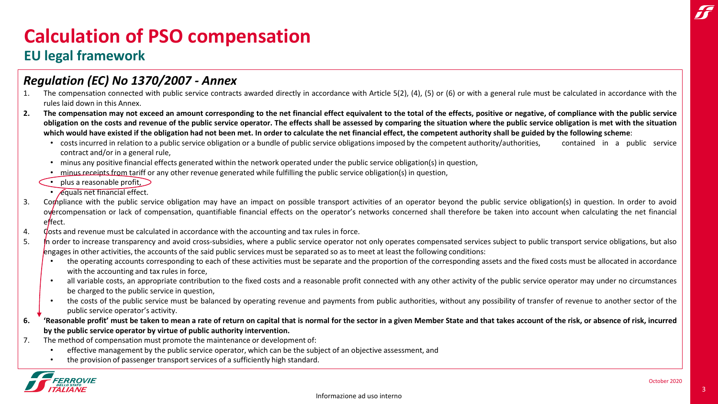#### **EU legal framework**

#### *Regulation (EC) No 1370/2007 - Annex*

- 1. The compensation connected with public service contracts awarded directly in accordance with Article 5(2), (4), (5) or (6) or with a general rule must be calculated in accordance with the rules laid down in this Annex.
- 2. The compensation may not exceed an amount corresponding to the net financial effect equivalent to the total of the effects, positive or negative, of compliance with the public service obligation on the costs and revenue of the public service operator. The effects shall be assessed by comparing the situation where the public service obligation is met with the situation which would have existed if the obligation had not been met. In order to calculate the net financial effect, the competent authority shall be guided by the following scheme:
	- costs incurred in relation to a public service obligation or a bundle of public service obligations imposed by the competent authority/authorities, contained in a public service contract and/or in a general rule,
	- minus any positive financial effects generated within the network operated under the public service obligation(s) in question,
	- minus receipts from tariff or any other revenue generated while fulfilling the public service obligation(s) in question,
	- plus a reasonable profit,  $\sum$ 
		- $\cdot$  *Equals net financial effect.*
- 3. Compliance with the public service obligation may have an impact on possible transport activities of an operator beyond the public service obligation(s) in question. In order to avoid overcompensation or lack of compensation, quantifiable financial effects on the operator's networks concerned shall therefore be taken into account when calculating the net financial effect.
- 4. Gosts and revenue must be calculated in accordance with the accounting and tax rules in force.
- 5. In order to increase transparency and avoid cross-subsidies, where a public service operator not only operates compensated services subject to public transport service obligations, but also engages in other activities, the accounts of the said public services must be separated so as to meet at least the following conditions:
	- the operating accounts corresponding to each of these activities must be separate and the proportion of the corresponding assets and the fixed costs must be allocated in accordance with the accounting and tax rules in force,
	- all variable costs, an appropriate contribution to the fixed costs and a reasonable profit connected with any other activity of the public service operator may under no circumstances be charged to the public service in question,
	- the costs of the public service must be balanced by operating revenue and payments from public authorities, without any possibility of transfer of revenue to another sector of the public service operator's activity.
- 6. (Reasonable profit' must be taken to mean a rate of return on capital that is normal for the sector in a given Member State and that takes account of the risk, or absence of risk, incurred **by the public service operator by virtue of public authority intervention.**
- 7. The method of compensation must promote the maintenance or development of:
	- effective management by the public service operator, which can be the subject of an objective assessment, and
	- the provision of passenger transport services of a sufficiently high standard.

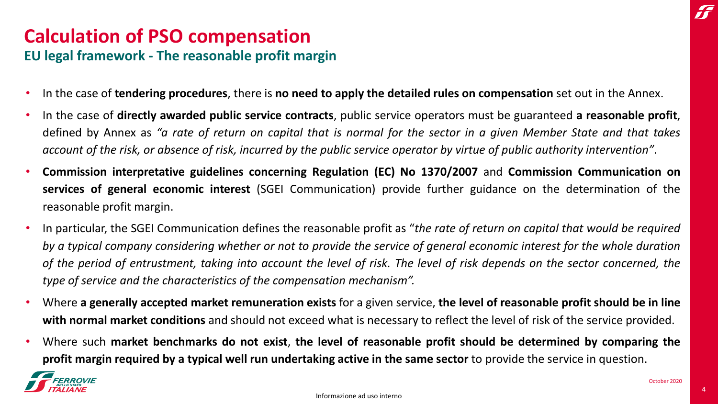# **Calculation of PSO compensation EU legal framework - The reasonable profit margin**

- In the case of **tendering procedures**, there is **no need to apply the detailed rules on compensation** set out in the Annex.
- In the case of **directly awarded public service contracts**, public service operators must be guaranteed **a reasonable profit**, defined by Annex as "a rate of return on capital that is normal for the sector in a given Member State and that takes account of the risk, or absence of risk, incurred by the public service operator by virtue of public authority intervention".
- **Commission interpretative guidelines concerning Regulation (EC) No 1370/2007** and **Commission Communication on services of general economic interest** (SGEI Communication) provide further guidance on the determination of the reasonable profit margin.
- In particular, the SGEI Communication defines the reasonable profit as "*the rate of return on capital that would be required* by a typical company considering whether or not to provide the service of general economic interest for the whole duration of the period of entrustment, taking into account the level of risk. The level of risk depends on the sector concerned, the *type of service and the characteristics of the compensation mechanism".*
- Where a generally accepted market remuneration exists for a given service, the level of reasonable profit should be in line **with normal market conditions** and should not exceed what is necessary to reflect the level of risk of the service provided.
- Where such market benchmarks do not exist, the level of reasonable profit should be determined by comparing the **profit margin required by a typical well run undertaking active in the same sector** to provide the service in question.



4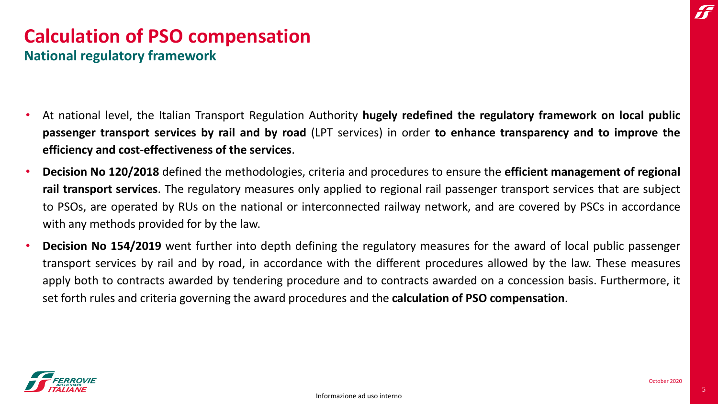# **Calculation of PSO compensation National regulatory framework**

- At national level, the Italian Transport Regulation Authority **hugely redefined the regulatory framework on local public passenger transport services by rail and by road** (LPT services) in order **to enhance transparency and to improve the efficiency and cost-effectiveness of the services**.
- **Decision No 120/2018** defined the methodologies, criteria and procedures to ensure the **efficient management of regional rail transport services**. The regulatory measures only applied to regional rail passenger transport services that are subject to PSOs, are operated by RUs on the national or interconnected railway network, and are covered by PSCs in accordance with any methods provided for by the law.
- **Decision No 154/2019** went further into depth defining the regulatory measures for the award of local public passenger transport services by rail and by road, in accordance with the different procedures allowed by the law. These measures apply both to contracts awarded by tendering procedure and to contracts awarded on a concession basis. Furthermore, it set forth rules and criteria governing the award procedures and the **calculation of PSO compensation**.

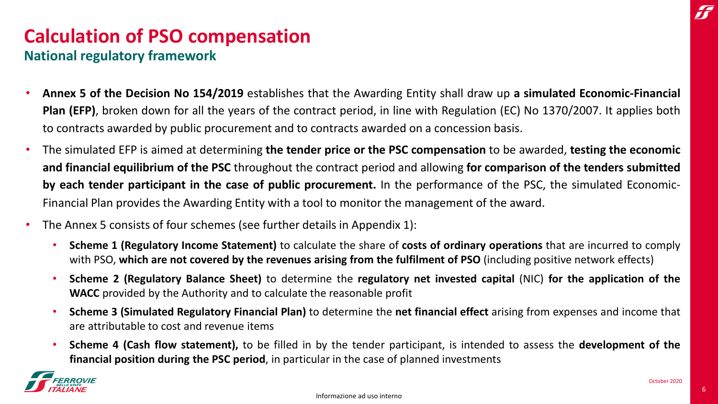#### **National regulatory framework**

- **Annex 5 of the Decision No 154/2019** establishes that the Awarding Entity shall draw up **a simulated Economic-Financial Plan (EFP)**, broken down for all the years of the contract period, in line with Regulation (EC) No 1370/2007. It applies both to contracts awarded by public procurement and to contracts awarded on a concession basis.
- The simulated EFP is aimed at determining **the tender price or the PSC compensation** to be awarded, **testing the economic and financial equilibrium of the PSC** throughout the contract period and allowing **for comparison of the tenders submitted by each tender participant in the case of public procurement.** In the performance of the PSC, the simulated Economic-Financial Plan provides the Awarding Entity with a tool to monitor the management of the award.
- The Annex 5 consists of four schemes (see further details in Appendix 1):
	- **Scheme 1 (Regulatory Income Statement)** to calculate the share of **costs of ordinary operations** that are incurred to comply with PSO, **which are not covered by the revenues arising from the fulfilment of PSO** (including positive network effects)
	- **Scheme 2 (Regulatory Balance Sheet)** to determine the **regulatory net invested capital** (NIC) **for the application of the WACC** provided by the Authority and to calculate the reasonable profit
	- **Scheme 3 (Simulated Regulatory Financial Plan)** to determine the **net financial effect** arising from expenses and income that are attributable to cost and revenue items
	- **Scheme 4 (Cash flow statement),** to be filled in by the tender participant, is intended to assess the **development of the financial position during the PSC period**, in particular in the case of planned investments

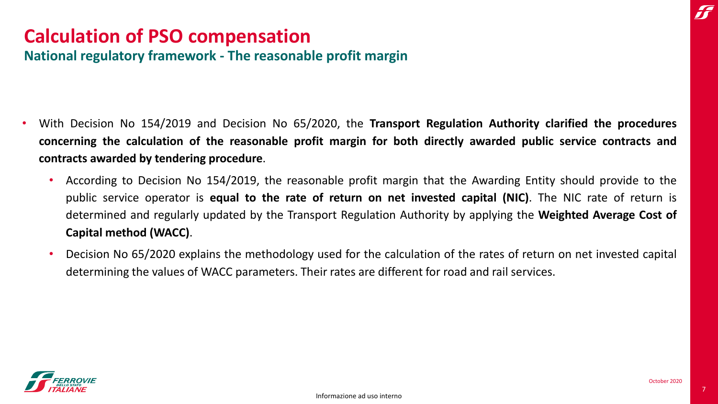**National regulatory framework - The reasonable profit margin**

- With Decision No 154/2019 and Decision No 65/2020, the **Transport Regulation Authority clarified the procedures** concerning the calculation of the reasonable profit margin for both directly awarded public service contracts and **contracts awarded by tendering procedure**.
	- According to Decision No 154/2019, the reasonable profit margin that the Awarding Entity should provide to the public service operator is **equal to the rate of return on net invested capital (NIC)**. The NIC rate of return is determined and regularly updated by the Transport Regulation Authority by applying the **Weighted Average Cost of Capital method (WACC)**.
	- Decision No 65/2020 explains the methodology used for the calculation of the rates of return on net invested capital determining the values of WACC parameters. Their rates are different for road and rail services.

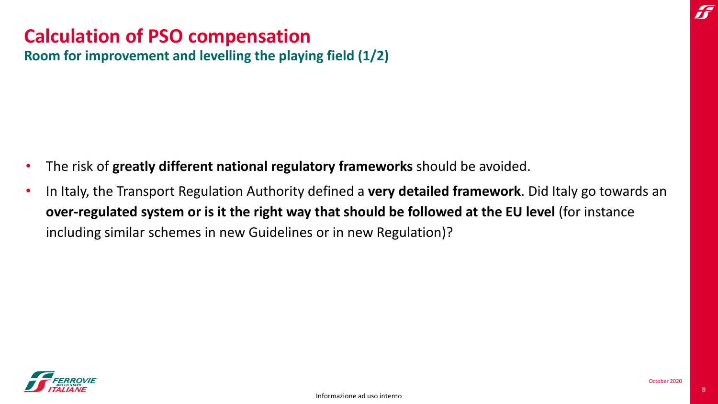### **Calculation of PSO compensation Room for improvement and levelling the playing field (1/2)**

- The risk of **greatly different national regulatory frameworks** should be avoided.
- In Italy, the Transport Regulation Authority defined a **very detailed framework**. Did Italy go towards an **over-regulated system or is it the right way that should be followed at the EU level** (for instance including similar schemes in new Guidelines or in new Regulation)?

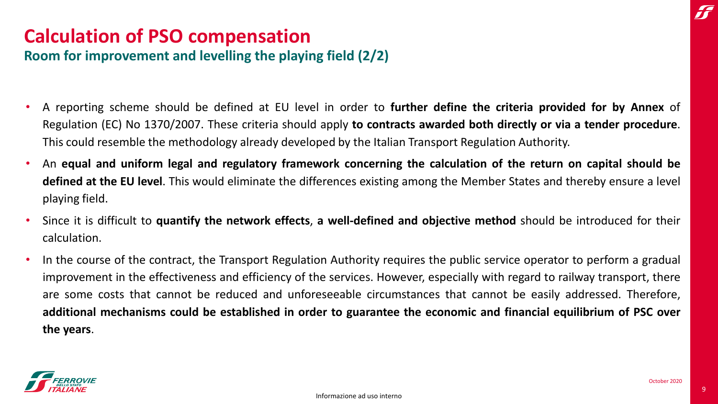#### **Room for improvement and levelling the playing field (2/2)**

- A reporting scheme should be defined at EU level in order to **further define the criteria provided for by Annex** of Regulation (EC) No 1370/2007. These criteria should apply **to contracts awarded both directly or via a tender procedure**. This could resemble the methodology already developed by the Italian Transport Regulation Authority.
- An equal and uniform legal and regulatory framework concerning the calculation of the return on capital should be **defined at the EU level**. This would eliminate the differences existing among the Member States and thereby ensure a level playing field.
- Since it is difficult to **quantify the network effects**, **a well-defined and objective method** should be introduced for their calculation.
- In the course of the contract, the Transport Regulation Authority requires the public service operator to perform a gradual improvement in the effectiveness and efficiency of the services. However, especially with regard to railway transport, there are some costs that cannot be reduced and unforeseeable circumstances that cannot be easily addressed. Therefore, additional mechanisms could be established in order to guarantee the economic and financial equilibrium of PSC over **the years**.

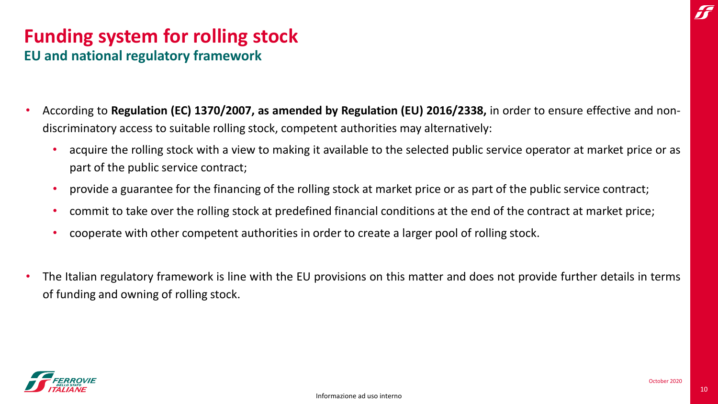# **Funding system for rolling stock EU and national regulatory framework**

- According to **Regulation (EC) 1370/2007, as amended by Regulation (EU) 2016/2338,** in order to ensure effective and nondiscriminatory access to suitable rolling stock, competent authorities may alternatively:
	- acquire the rolling stock with a view to making it available to the selected public service operator at market price or as part of the public service contract;
	- provide a guarantee for the financing of the rolling stock at market price or as part of the public service contract;
	- commit to take over the rolling stock at predefined financial conditions at the end of the contract at market price;
	- cooperate with other competent authorities in order to create a larger pool of rolling stock.
- The Italian regulatory framework is line with the EU provisions on this matter and does not provide further details in terms of funding and owning of rolling stock.

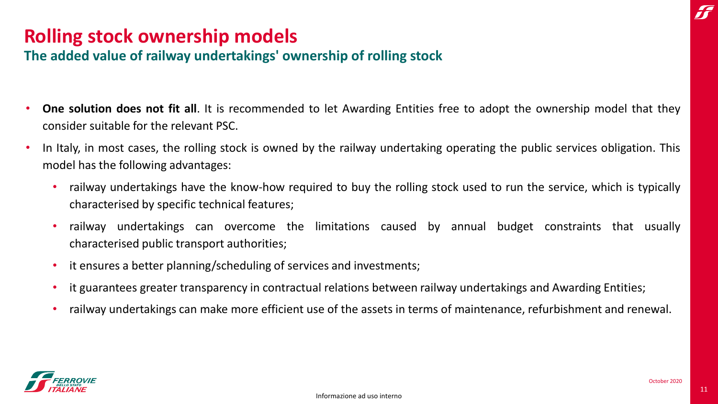# **Rolling stock ownership models**

#### **The added value of railway undertakings' ownership of rolling stock**

- **One solution does not fit all**. It is recommended to let Awarding Entities free to adopt the ownership model that they consider suitable for the relevant PSC.
- In Italy, in most cases, the rolling stock is owned by the railway undertaking operating the public services obligation. This model has the following advantages:
	- railway undertakings have the know-how required to buy the rolling stock used to run the service, which is typically characterised by specific technical features;
	- railway undertakings can overcome the limitations caused by annual budget constraints that usually characterised public transport authorities;
	- it ensures a better planning/scheduling of services and investments;
	- it guarantees greater transparency in contractual relations between railway undertakings and Awarding Entities;
	- railway undertakings can make more efficient use of the assets in terms of maintenance, refurbishment and renewal.

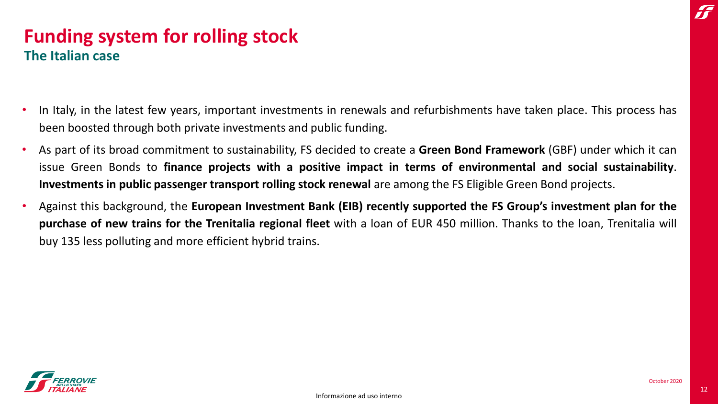# **Funding system for rolling stock The Italian case**

- In Italy, in the latest few years, important investments in renewals and refurbishments have taken place. This process has been boosted through both private investments and public funding.
- As part of its broad commitment to sustainability, FS decided to create a **Green Bond Framework** (GBF) under which it can issue Green Bonds to **finance projects with a positive impact in terms of environmental and social sustainability**. **Investments in public passenger transport rolling stock renewal** are among the FS Eligible Green Bond projects.
- Against this background, the **European Investment Bank (EIB) recently supported the FS Group's investment plan for the purchase of new trains for the Trenitalia regional fleet** with a loan of EUR 450 million. Thanks to the loan, Trenitalia will buy 135 less polluting and more efficient hybrid trains.

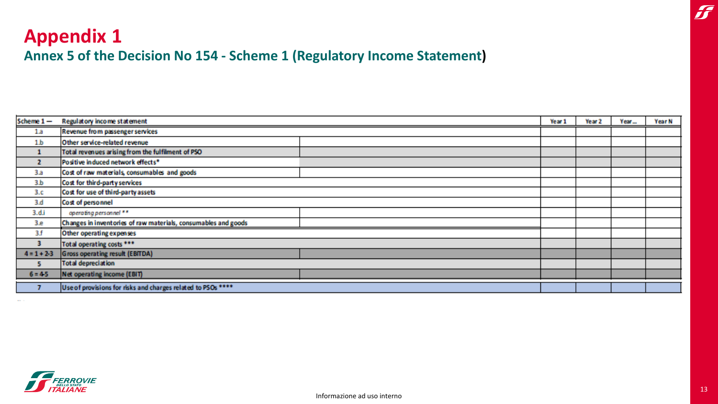# **Appendix 1 Annex 5 of the Decision No 154 - Scheme 1 (Regulatory Income Statement)**

| Scheme $1 -$    | Regulatory income statement                                    |  | Year 2 | Year | Year N |
|-----------------|----------------------------------------------------------------|--|--------|------|--------|
| 1a              | Revenue from passenger services                                |  |        |      |        |
| 1.b             | Other service-related revenue                                  |  |        |      |        |
| 1               | Total revenues arising from the fulfilment of PSO              |  |        |      |        |
| $\overline{2}$  | Positive induced network effects*                              |  |        |      |        |
| 3.a             | Cost of raw materials, consumables and goods                   |  |        |      |        |
| 3.b             | Cost for third-party services                                  |  |        |      |        |
| 3.c             | Cost for use of third-party assets                             |  |        |      |        |
| 3.d             | Cost of personnel                                              |  |        |      |        |
| 3.d.i           | operating personnel **                                         |  |        |      |        |
| 3.e             | Changes in inventories of raw materials, consumables and goods |  |        |      |        |
| 3.f             | Other operating expenses                                       |  |        |      |        |
| в               | Total operating costs ***                                      |  |        |      |        |
| $4 = 1 + 2 - 3$ | <b>Gross operating result (EBITDA)</b>                         |  |        |      |        |
| 5.              | <b>Total depreciation</b>                                      |  |        |      |        |
| $6 = 4.5$       | Net operating income (EBIT)                                    |  |        |      |        |
|                 | Use of provisions for risks and charges related to PSOs ****   |  |        |      |        |



 $\boldsymbol{J}$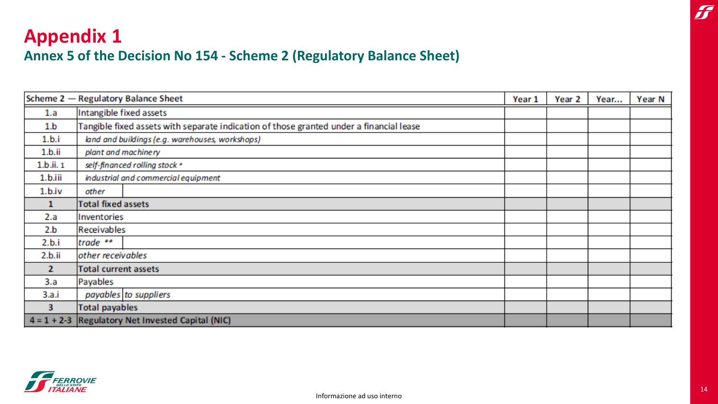# **Appendix 1 Annex 5 of the Decision No 154 - Scheme 2 (Regulatory Balance Sheet)**

|               | Scheme 2 - Regulatory Balance Sheet                                                     | Year 1 | Year <sub>2</sub> | Year | Year N |
|---------------|-----------------------------------------------------------------------------------------|--------|-------------------|------|--------|
| 1.a           | Intangible fixed assets                                                                 |        |                   |      |        |
| 1.b           | Tangible fixed assets with separate indication of those granted under a financial lease |        |                   |      |        |
| 1.b.i         | land and buildings (e.g. warehouses, workshops)                                         |        |                   |      |        |
| 1.b.ii        | plant and machinery                                                                     |        |                   |      |        |
| 1.b.ii. 1     | self-financed rolling stock *                                                           |        |                   |      |        |
| 1.b.iii       | industrial and commercial equipment                                                     |        |                   |      |        |
| 1.b.iv        | other                                                                                   |        |                   |      |        |
| 1             | <b>Total fixed assets</b>                                                               |        |                   |      |        |
| 2.a           | Inventories                                                                             |        |                   |      |        |
| 2.b           | Receivables                                                                             |        |                   |      |        |
| 2.b.i         | trade $**$                                                                              |        |                   |      |        |
| 2.b.ii        | other receivables                                                                       |        |                   |      |        |
| $\mathbf{z}$  | <b>Total current assets</b>                                                             |        |                   |      |        |
| 3.a           | Payables                                                                                |        |                   |      |        |
| 3.a.i         | payables to suppliers                                                                   |        |                   |      |        |
| 3             | <b>Total payables</b>                                                                   |        |                   |      |        |
| $4 = 1 + 2-3$ | Regulatory Net Invested Capital (NIC)                                                   |        |                   |      |        |



 $\boldsymbol{J}$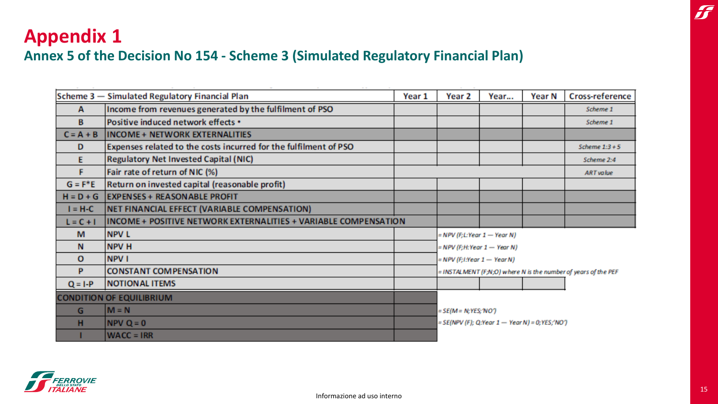# **Appendix 1**

### **Annex 5 of the Decision No 154 - Scheme 3 (Simulated Regulatory Financial Plan)**

|             | Scheme 3 - Simulated Regulatory Financial Plan                   | Year 1 | Year 2                                                         | Year                                           | Year N | <b>Cross-reference</b> |  |  |
|-------------|------------------------------------------------------------------|--------|----------------------------------------------------------------|------------------------------------------------|--------|------------------------|--|--|
| A           | Income from revenues generated by the fulfilment of PSO          |        |                                                                |                                                |        | Scheme 1               |  |  |
| B           | Positive induced network effects •                               |        |                                                                |                                                |        | Scheme 1               |  |  |
| $C = A + B$ | <b>INCOME + NETWORK EXTERNALITIES</b>                            |        |                                                                |                                                |        |                        |  |  |
| D           | Expenses related to the costs incurred for the fulfilment of PSO |        |                                                                |                                                |        | Scheme $1:3+5$         |  |  |
| E           | <b>Regulatory Net Invested Capital (NIC)</b>                     |        |                                                                |                                                |        | Scheme 2:4             |  |  |
| F           | Fair rate of return of NIC (%)                                   |        |                                                                |                                                |        | <b>ART</b> value       |  |  |
| $G = F^*E$  | Return on invested capital (reasonable profit)                   |        |                                                                |                                                |        |                        |  |  |
| $H = D + G$ | <b>EXPENSES + REASON ABLE PROFIT</b>                             |        |                                                                |                                                |        |                        |  |  |
| $I = H-C$   | NET FINANCIAL EFFECT (VARIABLE COMPENSATION)                     |        |                                                                |                                                |        |                        |  |  |
| $L = C + I$ | INCOME + POSITIVE NETWORK EXTERNALITIES + VARIABLE COMPENSATION  |        |                                                                |                                                |        |                        |  |  |
| M           | <b>NPV L</b>                                                     |        |                                                                | = NPV (F;L:Year 1 - Year N)                    |        |                        |  |  |
| N           | <b>NPV H</b>                                                     |        |                                                                | = NPV (F;H:Year 1 - Year N)                    |        |                        |  |  |
| o           | <b>NPV I</b>                                                     |        | $= NPV$ (F; I:Year $1 - YearN$ )                               |                                                |        |                        |  |  |
| P           | <b>CONSTANT COMPENSATION</b>                                     |        | = INSTALMENT (F;N;O) where N is the number of years of the PEF |                                                |        |                        |  |  |
| $Q = I - P$ | <b>NOTIONAL ITEMS</b>                                            |        |                                                                |                                                |        |                        |  |  |
|             | <b>CONDITION OF EQUILIBRIUM</b>                                  |        |                                                                |                                                |        |                        |  |  |
| G           | $M = N$                                                          |        | = SE(M = N; YES; 'NO')                                         |                                                |        |                        |  |  |
| н           | $NPV Q = 0$                                                      |        |                                                                | = SE(NPV (F); Q:Year 1 — Year N) = 0;YES;'NO') |        |                        |  |  |
|             | $WACC = IRR$                                                     |        |                                                                |                                                |        |                        |  |  |
|             |                                                                  |        |                                                                |                                                |        |                        |  |  |